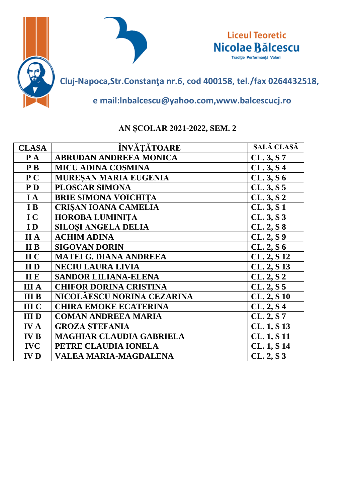



**Cluj-Napoca,Str.Constanţa nr.6, cod 400158, tel./fax 0264432518,**

## **e mail:lnbalcescu@yahoo.com,www.balcescucj.ro**

## **AN ȘCOLAR 2021-2022, SEM. 2**

| <b>CLASA</b>   | ÎNVĂȚĂTOARE                     | <b>SALĂ CLASĂ</b> |
|----------------|---------------------------------|-------------------|
| $\mathbf{P}$ A | <b>ABRUDAN ANDREEA MONICA</b>   | CL.3, S.7         |
| P B            | <b>MICU ADINA COSMINA</b>       | CL.3, S.4         |
| P C            | <b>MURESAN MARIA EUGENIA</b>    | CL.3, S.6         |
| <b>PD</b>      | <b>PLOSCAR SIMONA</b>           | CL.3, S.5         |
| I A            | <b>BRIE SIMONA VOICHITA</b>     | CL.3, S.2         |
| I <sub>B</sub> | <b>CRISAN IOANA CAMELIA</b>     | CL.3, S1          |
| IC             | <b>HOROBA LUMINITA</b>          | CL.3, S.3         |
| ID             | <b>SILOȘI ANGELA DELIA</b>      | CL.2, S.8         |
| <b>IIA</b>     | <b>ACHIM ADINA</b>              | CL.2, S.9         |
| <b>IIB</b>     | <b>SIGOVAN DORIN</b>            | CL.2, S6          |
| II C           | <b>MATEI G. DIANA ANDREEA</b>   | CL. 2, S 12       |
| <b>IID</b>     | <b>NECIU LAURA LIVIA</b>        | CL. 2, S 13       |
| <b>IIE</b>     | <b>SANDOR LILIANA-ELENA</b>     | CL.2, S.2         |
| <b>III</b> A   | <b>CHIFOR DORINA CRISTINA</b>   | CL.2, S.5         |
| <b>III B</b>   | NICOLĂESCU NORINA CEZARINA      | CL. 2, S 10       |
| <b>III C</b>   | <b>CHIRA EMOKE ECATERINA</b>    | CL.2, S.4         |
| <b>IIID</b>    | <b>COMAN ANDREEA MARIA</b>      | CL.2, S.7         |
| <b>IVA</b>     | <b>GROZA STEFANIA</b>           | CL. 1, S 13       |
| <b>IVB</b>     | <b>MAGHIAR CLAUDIA GABRIELA</b> | CL. 1, S 11       |
| <b>IVC</b>     | PETRE CLAUDIA IONELA            | CL. 1, S 14       |
| <b>IVD</b>     | <b>VALEA MARIA-MAGDALENA</b>    | CL.2, S.3         |